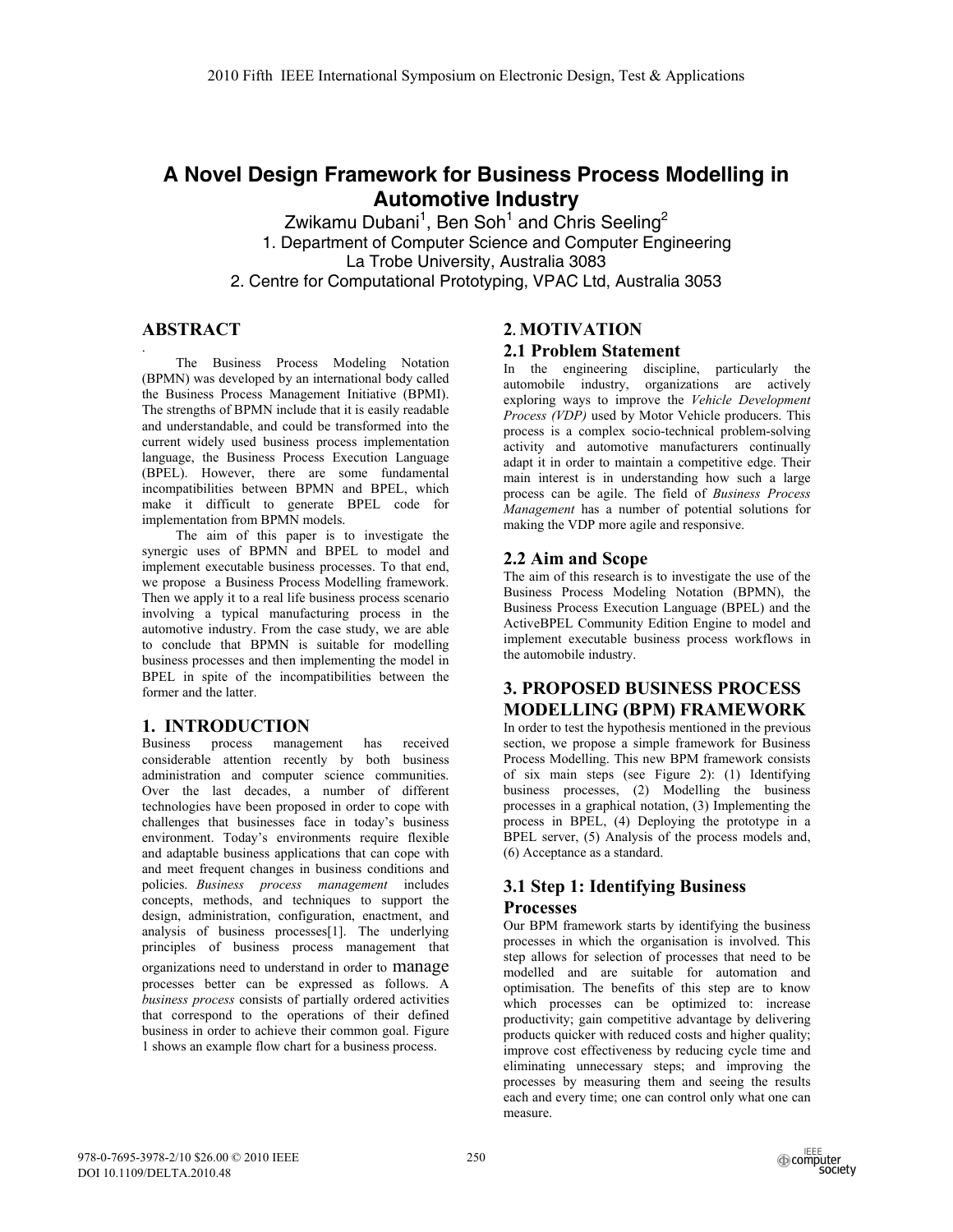## **A Novel Design Framework for Business Process Modelling in Automotive Industry**

Zwikamu Dubani<sup>1</sup>, Ben Soh<sup>1</sup> and Chris Seeling<sup>2</sup> 1. Department of Computer Science and Computer Engineering La Trobe University, Australia 3083 2. Centre for Computational Prototyping, VPAC Ltd, Australia 3053

## **ABSTRACT**

. The Business Process Modeling Notation (BPMN) was developed by an international body called the Business Process Management Initiative (BPMI). The strengths of BPMN include that it is easily readable and understandable, and could be transformed into the current widely used business process implementation language, the Business Process Execution Language (BPEL). However, there are some fundamental incompatibilities between BPMN and BPEL, which make it difficult to generate BPEL code for implementation from BPMN models.

 The aim of this paper is to investigate the synergic uses of BPMN and BPEL to model and implement executable business processes. To that end, we propose a Business Process Modelling framework. Then we apply it to a real life business process scenario involving a typical manufacturing process in the automotive industry. From the case study, we are able to conclude that BPMN is suitable for modelling business processes and then implementing the model in BPEL in spite of the incompatibilities between the former and the latter.

## **1. INTRODUCTION**

Business process management has received considerable attention recently by both business administration and computer science communities. Over the last decades, a number of different technologies have been proposed in order to cope with challenges that businesses face in today's business environment. Today's environments require flexible and adaptable business applications that can cope with and meet frequent changes in business conditions and policies. *Business process management* includes concepts, methods, and techniques to support the design, administration, configuration, enactment, and analysis of business processes[1]. The underlying principles of business process management that organizations need to understand in order to manage processes better can be expressed as follows. A *business process* consists of partially ordered activities that correspond to the operations of their defined business in order to achieve their common goal. Figure 1 shows an example flow chart for a business process.

## **2. MOTIVATION**

## **2.1 Problem Statement**

In the engineering discipline, particularly the automobile industry, organizations are actively exploring ways to improve the *Vehicle Development Process (VDP)* used by Motor Vehicle producers. This process is a complex socio-technical problem-solving activity and automotive manufacturers continually adapt it in order to maintain a competitive edge. Their main interest is in understanding how such a large process can be agile. The field of *Business Process Management* has a number of potential solutions for making the VDP more agile and responsive.

#### **2.2 Aim and Scope**

The aim of this research is to investigate the use of the Business Process Modeling Notation (BPMN), the Business Process Execution Language (BPEL) and the ActiveBPEL Community Edition Engine to model and implement executable business process workflows in the automobile industry.

## **3. PROPOSED BUSINESS PROCESS MODELLING (BPM) FRAMEWORK**

In order to test the hypothesis mentioned in the previous section, we propose a simple framework for Business Process Modelling. This new BPM framework consists of six main steps (see Figure 2): (1) Identifying business processes, (2) Modelling the business processes in a graphical notation, (3) Implementing the process in BPEL, (4) Deploying the prototype in a BPEL server, (5) Analysis of the process models and, (6) Acceptance as a standard.

# **3.1 Step 1: Identifying Business**

#### **Processes**

Our BPM framework starts by identifying the business processes in which the organisation is involved. This step allows for selection of processes that need to be modelled and are suitable for automation and optimisation. The benefits of this step are to know which processes can be optimized to: increase productivity; gain competitive advantage by delivering products quicker with reduced costs and higher quality; improve cost effectiveness by reducing cycle time and eliminating unnecessary steps; and improving the processes by measuring them and seeing the results each and every time; one can control only what one can measure.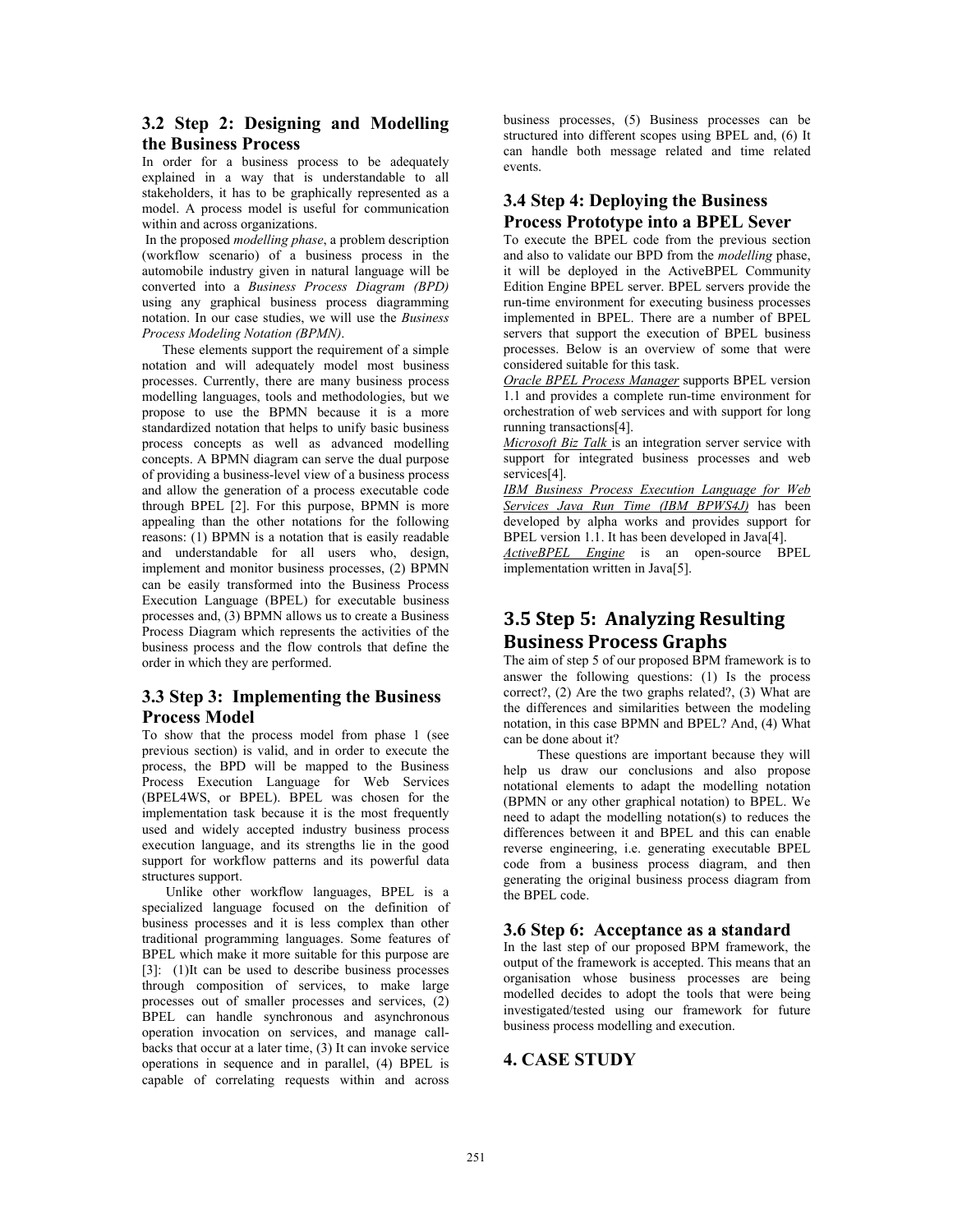### **3.2 Step 2: Designing and Modelling the Business Process**

In order for a business process to be adequately explained in a way that is understandable to all stakeholders, it has to be graphically represented as a model. A process model is useful for communication within and across organizations.

 In the proposed *modelling phase*, a problem description (workflow scenario) of a business process in the automobile industry given in natural language will be converted into a *Business Process Diagram (BPD)* using any graphical business process diagramming notation. In our case studies, we will use the *Business Process Modeling Notation (BPMN)*.

 These elements support the requirement of a simple notation and will adequately model most business processes. Currently, there are many business process modelling languages, tools and methodologies, but we propose to use the BPMN because it is a more standardized notation that helps to unify basic business process concepts as well as advanced modelling concepts. A BPMN diagram can serve the dual purpose of providing a business-level view of a business process and allow the generation of a process executable code through BPEL [2]. For this purpose, BPMN is more appealing than the other notations for the following reasons: (1) BPMN is a notation that is easily readable and understandable for all users who, design, implement and monitor business processes, (2) BPMN can be easily transformed into the Business Process Execution Language (BPEL) for executable business processes and, (3) BPMN allows us to create a Business Process Diagram which represents the activities of the business process and the flow controls that define the order in which they are performed.

#### **3.3 Step 3: Implementing the Business Process Model**

To show that the process model from phase 1 (see previous section) is valid, and in order to execute the process, the BPD will be mapped to the Business Process Execution Language for Web Services (BPEL4WS, or BPEL). BPEL was chosen for the implementation task because it is the most frequently used and widely accepted industry business process execution language, and its strengths lie in the good support for workflow patterns and its powerful data structures support.

 Unlike other workflow languages, BPEL is a specialized language focused on the definition of business processes and it is less complex than other traditional programming languages. Some features of BPEL which make it more suitable for this purpose are [3]: (1)It can be used to describe business processes through composition of services, to make large processes out of smaller processes and services, (2) BPEL can handle synchronous and asynchronous operation invocation on services, and manage callbacks that occur at a later time, (3) It can invoke service operations in sequence and in parallel, (4) BPEL is capable of correlating requests within and across

business processes, (5) Business processes can be structured into different scopes using BPEL and, (6) It can handle both message related and time related events.

## **3.4 Step 4: Deploying the Business Process Prototype into a BPEL Sever**

To execute the BPEL code from the previous section and also to validate our BPD from the *modelling* phase, it will be deployed in the ActiveBPEL Community Edition Engine BPEL server. BPEL servers provide the run-time environment for executing business processes implemented in BPEL. There are a number of BPEL servers that support the execution of BPEL business processes. Below is an overview of some that were considered suitable for this task.

*Oracle BPEL Process Manager* supports BPEL version 1.1 and provides a complete run-time environment for orchestration of web services and with support for long running transactions[4].

*Microsoft Biz Talk* is an integration server service with support for integrated business processes and web services[4].

*IBM Business Process Execution Language for Web Services Java Run Time (IBM BPWS4J)* has been developed by alpha works and provides support for BPEL version 1.1. It has been developed in Java[4]. *ActiveBPEL Engine* is an open-source BPEL

implementation written in Java[5].

## **3.5 Step 5:Analyzing Resulting Business Process Graphs**

The aim of step 5 of our proposed BPM framework is to answer the following questions: (1) Is the process correct?, (2) Are the two graphs related?, (3) What are the differences and similarities between the modeling notation, in this case BPMN and BPEL? And, (4) What can be done about it?

 These questions are important because they will help us draw our conclusions and also propose notational elements to adapt the modelling notation (BPMN or any other graphical notation) to BPEL. We need to adapt the modelling notation(s) to reduces the differences between it and BPEL and this can enable reverse engineering, i.e. generating executable BPEL code from a business process diagram, and then generating the original business process diagram from the BPEL code.

#### **3.6 Step 6: Acceptance as a standard**

In the last step of our proposed BPM framework, the output of the framework is accepted. This means that an organisation whose business processes are being modelled decides to adopt the tools that were being investigated/tested using our framework for future business process modelling and execution.

#### **4. CASE STUDY**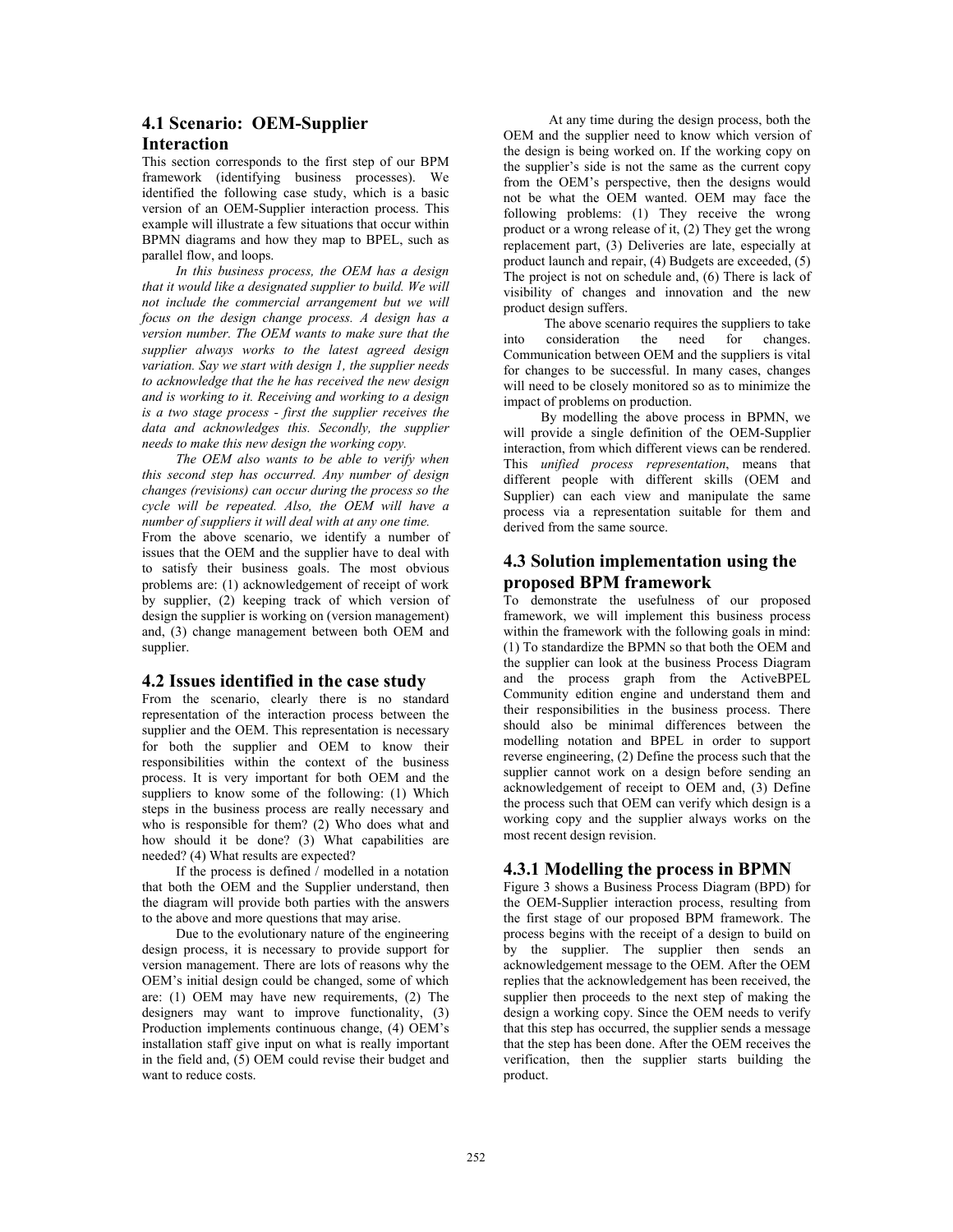#### **4.1 Scenario: OEM-Supplier Interaction**

This section corresponds to the first step of our BPM framework (identifying business processes). We identified the following case study, which is a basic version of an OEM-Supplier interaction process. This example will illustrate a few situations that occur within BPMN diagrams and how they map to BPEL, such as parallel flow, and loops.

 *In this business process, the OEM has a design that it would like a designated supplier to build. We will not include the commercial arrangement but we will focus on the design change process. A design has a version number. The OEM wants to make sure that the supplier always works to the latest agreed design variation. Say we start with design 1, the supplier needs to acknowledge that the he has received the new design and is working to it. Receiving and working to a design is a two stage process - first the supplier receives the data and acknowledges this. Secondly, the supplier needs to make this new design the working copy.* 

 *The OEM also wants to be able to verify when this second step has occurred. Any number of design changes (revisions) can occur during the process so the cycle will be repeated. Also, the OEM will have a number of suppliers it will deal with at any one time.*  From the above scenario, we identify a number of issues that the OEM and the supplier have to deal with to satisfy their business goals. The most obvious problems are: (1) acknowledgement of receipt of work by supplier, (2) keeping track of which version of design the supplier is working on (version management) and, (3) change management between both OEM and supplier.

#### **4.2 Issues identified in the case study**

From the scenario, clearly there is no standard representation of the interaction process between the supplier and the OEM. This representation is necessary for both the supplier and OEM to know their responsibilities within the context of the business process. It is very important for both OEM and the suppliers to know some of the following: (1) Which steps in the business process are really necessary and who is responsible for them? (2) Who does what and how should it be done? (3) What capabilities are needed? (4) What results are expected?

If the process is defined  $\overline{\ }$  modelled in a notation that both the OEM and the Supplier understand, then the diagram will provide both parties with the answers to the above and more questions that may arise.

 Due to the evolutionary nature of the engineering design process, it is necessary to provide support for version management. There are lots of reasons why the OEM's initial design could be changed, some of which are: (1) OEM may have new requirements, (2) The designers may want to improve functionality, (3) Production implements continuous change, (4) OEM's installation staff give input on what is really important in the field and, (5) OEM could revise their budget and want to reduce costs.

 At any time during the design process, both the OEM and the supplier need to know which version of the design is being worked on. If the working copy on the supplier's side is not the same as the current copy from the OEM's perspective, then the designs would not be what the OEM wanted. OEM may face the following problems: (1) They receive the wrong product or a wrong release of it, (2) They get the wrong replacement part, (3) Deliveries are late, especially at product launch and repair, (4) Budgets are exceeded, (5) The project is not on schedule and, (6) There is lack of visibility of changes and innovation and the new product design suffers.

The above scenario requires the suppliers to take<br>consideration the need for changes. into consideration the need for Communication between OEM and the suppliers is vital for changes to be successful. In many cases, changes will need to be closely monitored so as to minimize the impact of problems on production.

 By modelling the above process in BPMN, we will provide a single definition of the OEM-Supplier interaction, from which different views can be rendered. This *unified process representation*, means that different people with different skills (OEM and Supplier) can each view and manipulate the same process via a representation suitable for them and derived from the same source.

### **4.3 Solution implementation using the proposed BPM framework**

To demonstrate the usefulness of our proposed framework, we will implement this business process within the framework with the following goals in mind: (1) To standardize the BPMN so that both the OEM and the supplier can look at the business Process Diagram and the process graph from the ActiveBPEL Community edition engine and understand them and their responsibilities in the business process. There should also be minimal differences between the modelling notation and BPEL in order to support reverse engineering, (2) Define the process such that the supplier cannot work on a design before sending an acknowledgement of receipt to OEM and, (3) Define the process such that OEM can verify which design is a working copy and the supplier always works on the most recent design revision.

#### **4.3.1 Modelling the process in BPMN**

Figure 3 shows a Business Process Diagram (BPD) for the OEM-Supplier interaction process, resulting from the first stage of our proposed BPM framework. The process begins with the receipt of a design to build on by the supplier. The supplier then sends an acknowledgement message to the OEM. After the OEM replies that the acknowledgement has been received, the supplier then proceeds to the next step of making the design a working copy. Since the OEM needs to verify that this step has occurred, the supplier sends a message that the step has been done. After the OEM receives the verification, then the supplier starts building the product.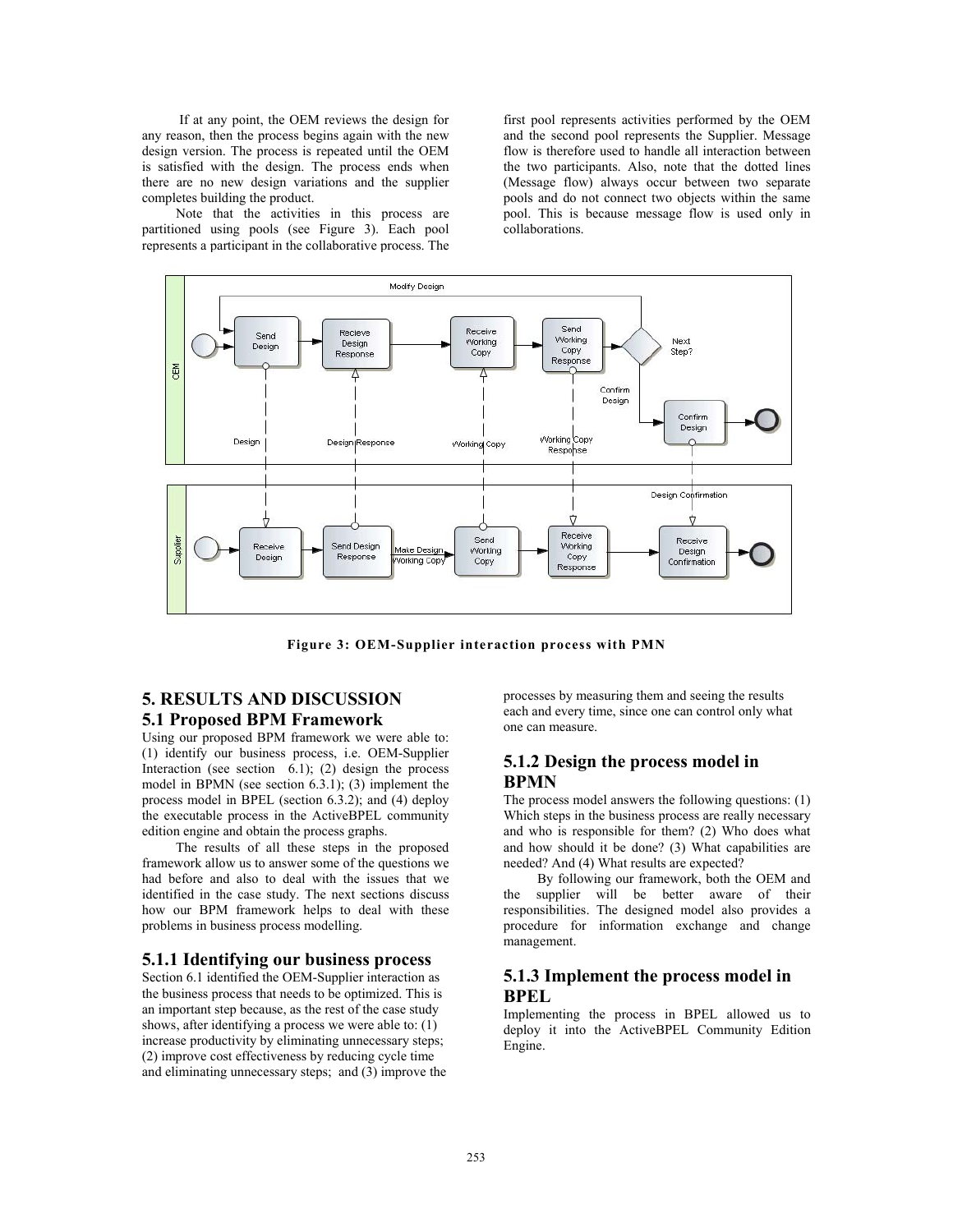If at any point, the OEM reviews the design for any reason, then the process begins again with the new design version. The process is repeated until the OEM is satisfied with the design. The process ends when there are no new design variations and the supplier completes building the product.

 Note that the activities in this process are partitioned using pools (see Figure 3). Each pool represents a participant in the collaborative process. The

first pool represents activities performed by the OEM and the second pool represents the Supplier. Message flow is therefore used to handle all interaction between the two participants. Also, note that the dotted lines (Message flow) always occur between two separate pools and do not connect two objects within the same pool. This is because message flow is used only in collaborations.



**Figure 3: OEM-Supplier interaction process with PMN** 

#### **5. RESULTS AND DISCUSSION 5.1 Proposed BPM Framework**

Using our proposed BPM framework we were able to: (1) identify our business process, i.e. OEM-Supplier Interaction (see section  $6.1$ ); (2) design the process model in BPMN (see section 6.3.1); (3) implement the process model in BPEL (section 6.3.2); and (4) deploy the executable process in the ActiveBPEL community edition engine and obtain the process graphs.

 The results of all these steps in the proposed framework allow us to answer some of the questions we had before and also to deal with the issues that we identified in the case study. The next sections discuss how our BPM framework helps to deal with these problems in business process modelling.

#### **5.1.1 Identifying our business process**

Section 6.1 identified the OEM-Supplier interaction as the business process that needs to be optimized. This is an important step because, as the rest of the case study shows, after identifying a process we were able to: (1) increase productivity by eliminating unnecessary steps; (2) improve cost effectiveness by reducing cycle time and eliminating unnecessary steps; and (3) improve the processes by measuring them and seeing the results each and every time, since one can control only what one can measure.

#### **5.1.2 Design the process model in BPMN**

The process model answers the following questions: (1) Which steps in the business process are really necessary and who is responsible for them? (2) Who does what and how should it be done? (3) What capabilities are needed? And (4) What results are expected?

 By following our framework, both the OEM and the supplier will be better aware of their responsibilities. The designed model also provides a procedure for information exchange and change management.

#### **5.1.3 Implement the process model in BPEL**

Implementing the process in BPEL allowed us to deploy it into the ActiveBPEL Community Edition Engine.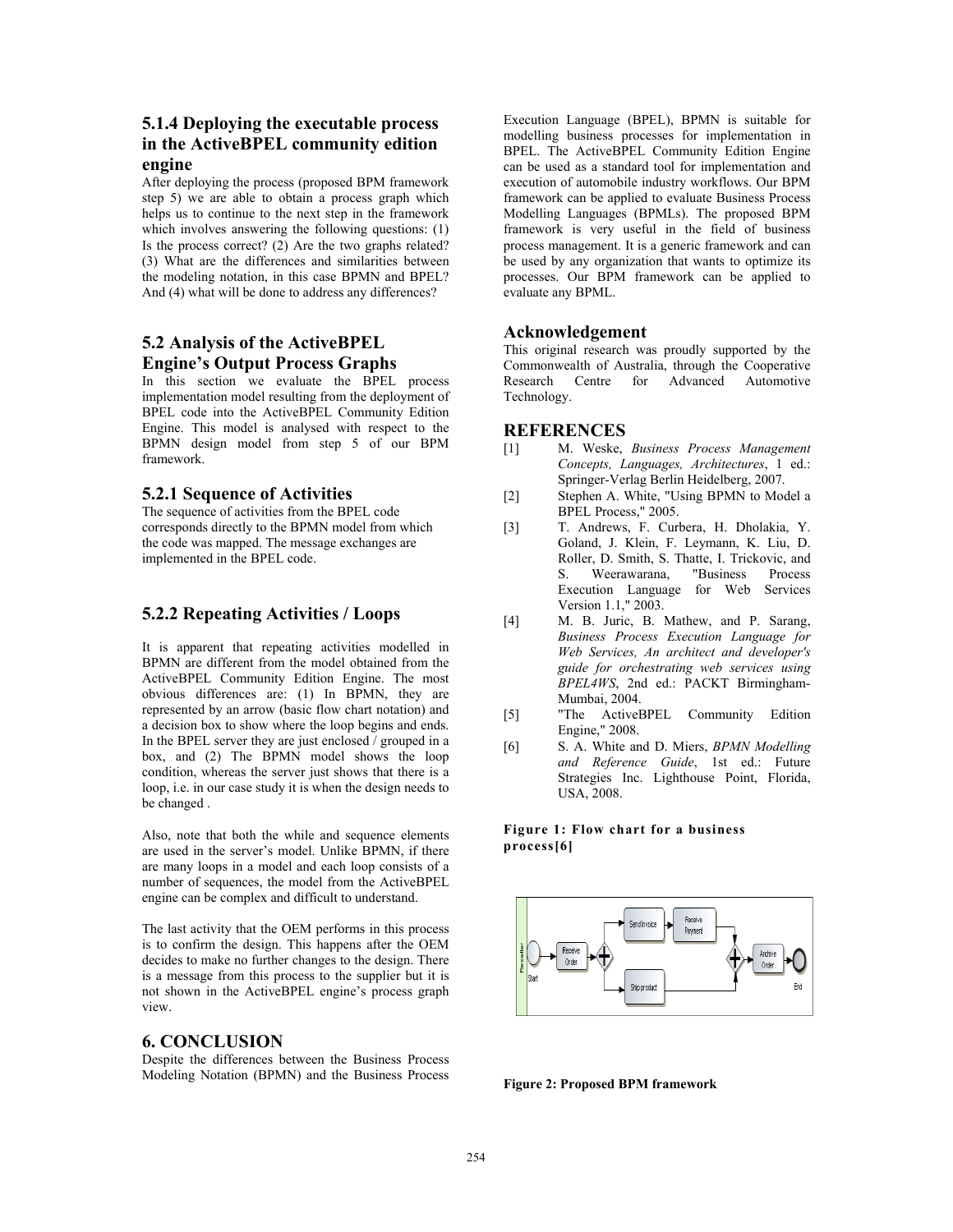## **5.1.4 Deploying the executable process in the ActiveBPEL community edition engine**

After deploying the process (proposed BPM framework step 5) we are able to obtain a process graph which helps us to continue to the next step in the framework which involves answering the following questions: (1) Is the process correct? (2) Are the two graphs related? (3) What are the differences and similarities between the modeling notation, in this case BPMN and BPEL? And (4) what will be done to address any differences?

#### **5.2 Analysis of the ActiveBPEL Engine's Output Process Graphs**

In this section we evaluate the BPEL process implementation model resulting from the deployment of BPEL code into the ActiveBPEL Community Edition Engine. This model is analysed with respect to the BPMN design model from step 5 of our BPM framework.

#### **5.2.1 Sequence of Activities**

The sequence of activities from the BPEL code corresponds directly to the BPMN model from which the code was mapped. The message exchanges are implemented in the BPEL code.

#### **5.2.2 Repeating Activities / Loops**

It is apparent that repeating activities modelled in BPMN are different from the model obtained from the ActiveBPEL Community Edition Engine. The most obvious differences are: (1) In BPMN, they are represented by an arrow (basic flow chart notation) and a decision box to show where the loop begins and ends. In the BPEL server they are just enclosed / grouped in a box, and (2) The BPMN model shows the loop condition, whereas the server just shows that there is a loop, i.e. in our case study it is when the design needs to be changed .

Also, note that both the while and sequence elements are used in the server's model. Unlike BPMN, if there are many loops in a model and each loop consists of a number of sequences, the model from the ActiveBPEL engine can be complex and difficult to understand.

The last activity that the OEM performs in this process is to confirm the design. This happens after the OEM decides to make no further changes to the design. There is a message from this process to the supplier but it is not shown in the ActiveBPEL engine's process graph view.

#### **6. CONCLUSION**

Despite the differences between the Business Process Modeling Notation (BPMN) and the Business Process

Execution Language (BPEL), BPMN is suitable for modelling business processes for implementation in BPEL. The ActiveBPEL Community Edition Engine can be used as a standard tool for implementation and execution of automobile industry workflows. Our BPM framework can be applied to evaluate Business Process Modelling Languages (BPMLs). The proposed BPM framework is very useful in the field of business process management. It is a generic framework and can be used by any organization that wants to optimize its processes. Our BPM framework can be applied to evaluate any BPML.

#### **Acknowledgement**

This original research was proudly supported by the Commonwealth of Australia, through the Cooperative Research Centre for Advanced Automotive Technology.

#### **REFERENCES**

- [1] M. Weske, *Business Process Management Concepts, Languages, Architectures*, 1 ed.: Springer-Verlag Berlin Heidelberg, 2007.
- [2] Stephen A. White, "Using BPMN to Model a BPEL Process," 2005.
- [3] T. Andrews, F. Curbera, H. Dholakia, Y. Goland, J. Klein, F. Leymann, K. Liu, D. Roller, D. Smith, S. Thatte, I. Trickovic, and S. Weerawarana, "Business Process<br>Execution Language for Web Services Execution Language for Web Version 1.1," 2003.
- [4] M. B. Juric, B. Mathew, and P. Sarang, *Business Process Execution Language for Web Services, An architect and developer's guide for orchestrating web services using BPEL4WS*, 2nd ed.: PACKT Birmingham-Mumbai, 2004.
- [5] "The ActiveBPEL Community Edition Engine," 2008.
- [6] S. A. White and D. Miers, *BPMN Modelling and Reference Guide*, 1st ed.: Future Strategies Inc. Lighthouse Point, Florida, USA, 2008.

#### **Figure 1: Flow chart for a business process[6]**



**Figure 2: Proposed BPM framework**